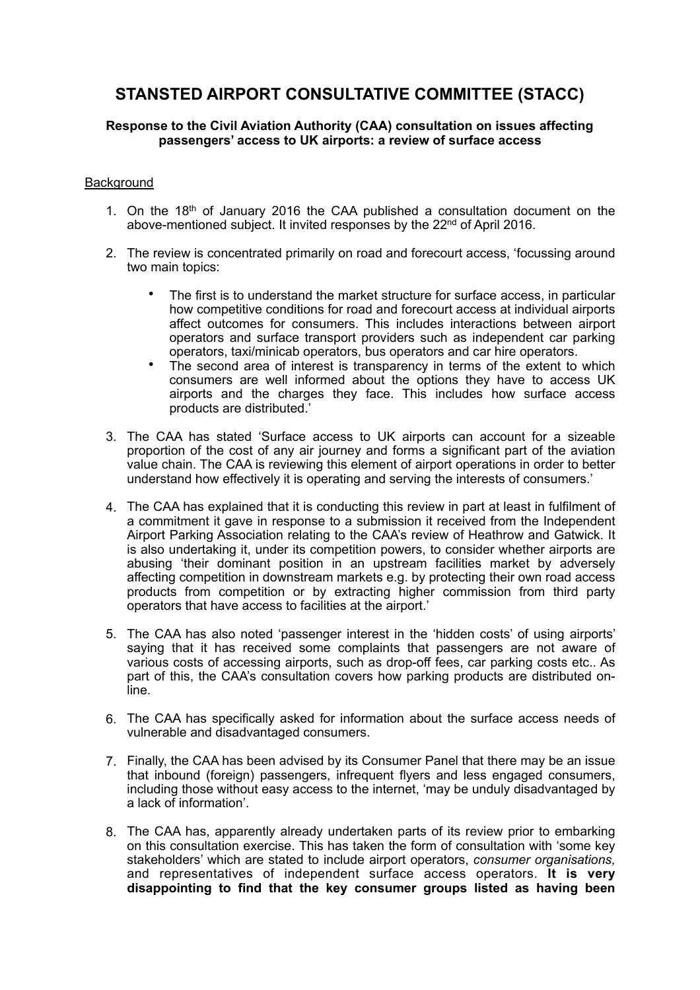# **STANSTED AIRPORT CONSULTATIVE COMMITTEE (STACC)**

## **Response to the Civil Aviation Authority (CAA) consultation on issues affecting passengers' access to UK airports: a review of surface access**

## **Background**

- 1. On the 18<sup>th</sup> of January 2016 the CAA published a consultation document on the above-mentioned subject. It invited responses by the 22<sup>nd</sup> of April 2016.
- 2. The review is concentrated primarily on road and forecourt access, 'focussing around two main topics:
	- The first is to understand the market structure for surface access, in particular how competitive conditions for road and forecourt access at individual airports affect outcomes for consumers. This includes interactions between airport operators and surface transport providers such as independent car parking operators, taxi/minicab operators, bus operators and car hire operators.
	- The second area of interest is transparency in terms of the extent to which consumers are well informed about the options they have to access UK airports and the charges they face. This includes how surface access products are distributed.'
- 3. The CAA has stated 'Surface access to UK airports can account for a sizeable proportion of the cost of any air journey and forms a significant part of the aviation value chain. The CAA is reviewing this element of airport operations in order to better understand how effectively it is operating and serving the interests of consumers.'
- 4. The CAA has explained that it is conducting this review in part at least in fulfilment of a commitment it gave in response to a submission it received from the Independent Airport Parking Association relating to the CAA's review of Heathrow and Gatwick. It is also undertaking it, under its competition powers, to consider whether airports are abusing 'their dominant position in an upstream facilities market by adversely affecting competition in downstream markets e.g. by protecting their own road access products from competition or by extracting higher commission from third party operators that have access to facilities at the airport.'
- 5. The CAA has also noted 'passenger interest in the 'hidden costs' of using airports' saying that it has received some complaints that passengers are not aware of various costs of accessing airports, such as drop-off fees, car parking costs etc.. As part of this, the CAA's consultation covers how parking products are distributed online.
- 6. The CAA has specifically asked for information about the surface access needs of vulnerable and disadvantaged consumers.
- 7. Finally, the CAA has been advised by its Consumer Panel that there may be an issue that inbound (foreign) passengers, infrequent flyers and less engaged consumers, including those without easy access to the internet, 'may be unduly disadvantaged by a lack of information'.
- 8. The CAA has, apparently already undertaken parts of its review prior to embarking on this consultation exercise. This has taken the form of consultation with 'some key stakeholders' which are stated to include airport operators, *consumer organisations,* and representatives of independent surface access operators. **It is very disappointing to find that the key consumer groups listed as having been**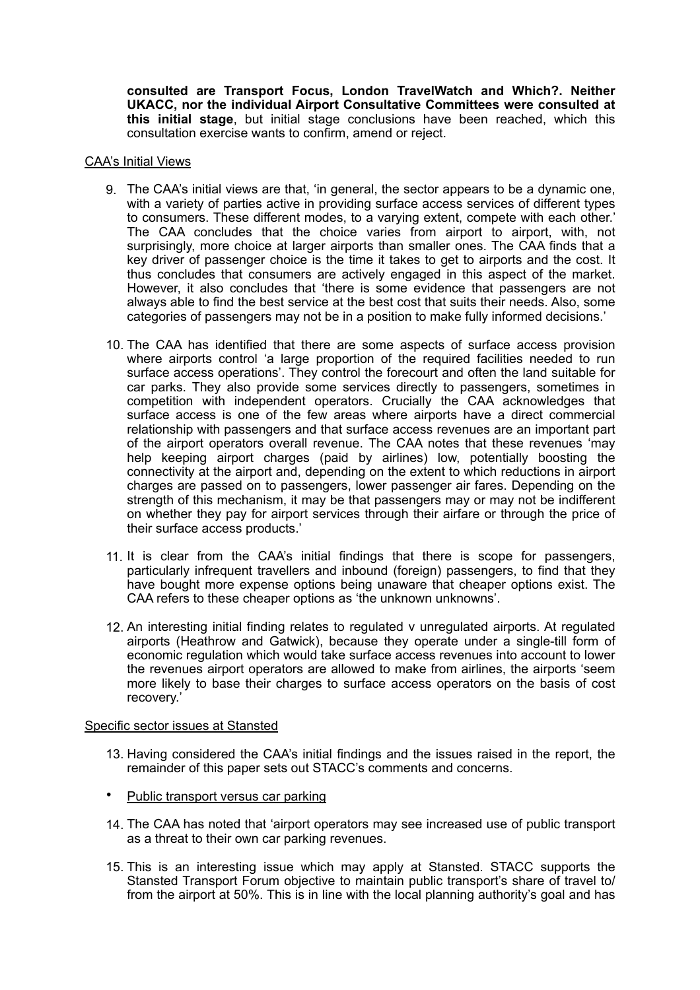**consulted are Transport Focus, London TravelWatch and Which?. Neither UKACC, nor the individual Airport Consultative Committees were consulted at this initial stage**, but initial stage conclusions have been reached, which this consultation exercise wants to confirm, amend or reject.

### CAA's Initial Views

- 9. The CAA's initial views are that, 'in general, the sector appears to be a dynamic one, with a variety of parties active in providing surface access services of different types to consumers. These different modes, to a varying extent, compete with each other.' The CAA concludes that the choice varies from airport to airport, with, not surprisingly, more choice at larger airports than smaller ones. The CAA finds that a key driver of passenger choice is the time it takes to get to airports and the cost. It thus concludes that consumers are actively engaged in this aspect of the market. However, it also concludes that 'there is some evidence that passengers are not always able to find the best service at the best cost that suits their needs. Also, some categories of passengers may not be in a position to make fully informed decisions.'
- 10. The CAA has identified that there are some aspects of surface access provision where airports control 'a large proportion of the required facilities needed to run surface access operations'. They control the forecourt and often the land suitable for car parks. They also provide some services directly to passengers, sometimes in competition with independent operators. Crucially the CAA acknowledges that surface access is one of the few areas where airports have a direct commercial relationship with passengers and that surface access revenues are an important part of the airport operators overall revenue. The CAA notes that these revenues 'may help keeping airport charges (paid by airlines) low, potentially boosting the connectivity at the airport and, depending on the extent to which reductions in airport charges are passed on to passengers, lower passenger air fares. Depending on the strength of this mechanism, it may be that passengers may or may not be indifferent on whether they pay for airport services through their airfare or through the price of their surface access products.'
- 11. It is clear from the CAA's initial findings that there is scope for passengers, particularly infrequent travellers and inbound (foreign) passengers, to find that they have bought more expense options being unaware that cheaper options exist. The CAA refers to these cheaper options as 'the unknown unknowns'.
- 12. An interesting initial finding relates to regulated v unregulated airports. At regulated airports (Heathrow and Gatwick), because they operate under a single-till form of economic regulation which would take surface access revenues into account to lower the revenues airport operators are allowed to make from airlines, the airports 'seem more likely to base their charges to surface access operators on the basis of cost recovery.'

### Specific sector issues at Stansted

- 13. Having considered the CAA's initial findings and the issues raised in the report, the remainder of this paper sets out STACC's comments and concerns.
- Public transport versus car parking
- 14. The CAA has noted that 'airport operators may see increased use of public transport as a threat to their own car parking revenues.
- 15. This is an interesting issue which may apply at Stansted. STACC supports the Stansted Transport Forum objective to maintain public transport's share of travel to/ from the airport at 50%. This is in line with the local planning authority's goal and has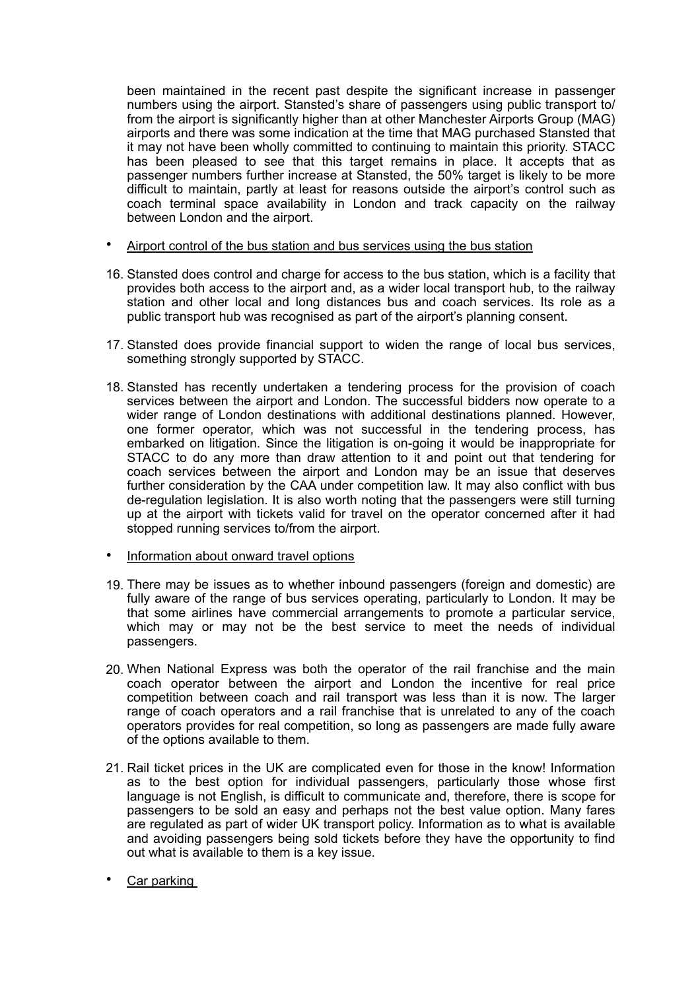been maintained in the recent past despite the significant increase in passenger numbers using the airport. Stansted's share of passengers using public transport to/ from the airport is significantly higher than at other Manchester Airports Group (MAG) airports and there was some indication at the time that MAG purchased Stansted that it may not have been wholly committed to continuing to maintain this priority. STACC has been pleased to see that this target remains in place. It accepts that as passenger numbers further increase at Stansted, the 50% target is likely to be more difficult to maintain, partly at least for reasons outside the airport's control such as coach terminal space availability in London and track capacity on the railway between London and the airport.

- Airport control of the bus station and bus services using the bus station
- 16. Stansted does control and charge for access to the bus station, which is a facility that provides both access to the airport and, as a wider local transport hub, to the railway station and other local and long distances bus and coach services. Its role as a public transport hub was recognised as part of the airport's planning consent.
- 17. Stansted does provide financial support to widen the range of local bus services, something strongly supported by STACC.
- 18. Stansted has recently undertaken a tendering process for the provision of coach services between the airport and London. The successful bidders now operate to a wider range of London destinations with additional destinations planned. However, one former operator, which was not successful in the tendering process, has embarked on litigation. Since the litigation is on-going it would be inappropriate for STACC to do any more than draw attention to it and point out that tendering for coach services between the airport and London may be an issue that deserves further consideration by the CAA under competition law. It may also conflict with bus de-regulation legislation. It is also worth noting that the passengers were still turning up at the airport with tickets valid for travel on the operator concerned after it had stopped running services to/from the airport.
- Information about onward travel options
- 19. There may be issues as to whether inbound passengers (foreign and domestic) are fully aware of the range of bus services operating, particularly to London. It may be that some airlines have commercial arrangements to promote a particular service, which may or may not be the best service to meet the needs of individual passengers.
- 20. When National Express was both the operator of the rail franchise and the main coach operator between the airport and London the incentive for real price competition between coach and rail transport was less than it is now. The larger range of coach operators and a rail franchise that is unrelated to any of the coach operators provides for real competition, so long as passengers are made fully aware of the options available to them.
- 21. Rail ticket prices in the UK are complicated even for those in the know! Information as to the best option for individual passengers, particularly those whose first language is not English, is difficult to communicate and, therefore, there is scope for passengers to be sold an easy and perhaps not the best value option. Many fares are regulated as part of wider UK transport policy. Information as to what is available and avoiding passengers being sold tickets before they have the opportunity to find out what is available to them is a key issue.
- Car parking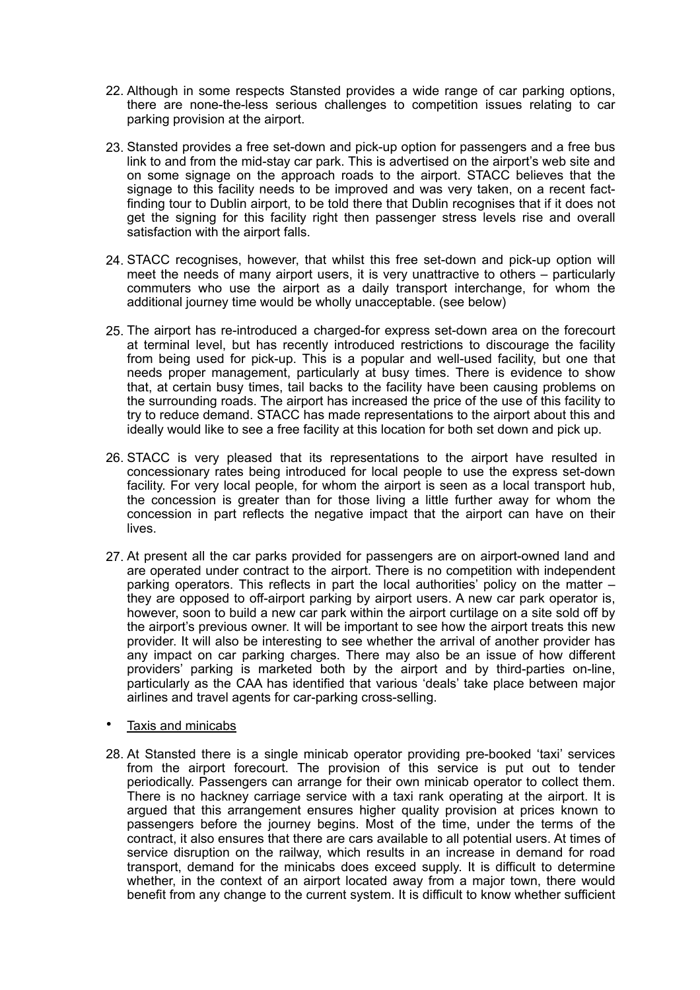- 22. Although in some respects Stansted provides a wide range of car parking options, there are none-the-less serious challenges to competition issues relating to car parking provision at the airport.
- 23. Stansted provides a free set-down and pick-up option for passengers and a free bus link to and from the mid-stay car park. This is advertised on the airport's web site and on some signage on the approach roads to the airport. STACC believes that the signage to this facility needs to be improved and was very taken, on a recent factfinding tour to Dublin airport, to be told there that Dublin recognises that if it does not get the signing for this facility right then passenger stress levels rise and overall satisfaction with the airport falls.
- 24. STACC recognises, however, that whilst this free set-down and pick-up option will meet the needs of many airport users, it is very unattractive to others – particularly commuters who use the airport as a daily transport interchange, for whom the additional journey time would be wholly unacceptable. (see below)
- 25. The airport has re-introduced a charged-for express set-down area on the forecourt at terminal level, but has recently introduced restrictions to discourage the facility from being used for pick-up. This is a popular and well-used facility, but one that needs proper management, particularly at busy times. There is evidence to show that, at certain busy times, tail backs to the facility have been causing problems on the surrounding roads. The airport has increased the price of the use of this facility to try to reduce demand. STACC has made representations to the airport about this and ideally would like to see a free facility at this location for both set down and pick up.
- 26. STACC is very pleased that its representations to the airport have resulted in concessionary rates being introduced for local people to use the express set-down facility. For very local people, for whom the airport is seen as a local transport hub, the concession is greater than for those living a little further away for whom the concession in part reflects the negative impact that the airport can have on their lives.
- 27. At present all the car parks provided for passengers are on airport-owned land and are operated under contract to the airport. There is no competition with independent parking operators. This reflects in part the local authorities' policy on the matter – they are opposed to off-airport parking by airport users. A new car park operator is, however, soon to build a new car park within the airport curtilage on a site sold off by the airport's previous owner. It will be important to see how the airport treats this new provider. It will also be interesting to see whether the arrival of another provider has any impact on car parking charges. There may also be an issue of how different providers' parking is marketed both by the airport and by third-parties on-line, particularly as the CAA has identified that various 'deals' take place between major airlines and travel agents for car-parking cross-selling.
- Taxis and minicabs
- 28. At Stansted there is a single minicab operator providing pre-booked 'taxi' services from the airport forecourt. The provision of this service is put out to tender periodically. Passengers can arrange for their own minicab operator to collect them. There is no hackney carriage service with a taxi rank operating at the airport. It is argued that this arrangement ensures higher quality provision at prices known to passengers before the journey begins. Most of the time, under the terms of the contract, it also ensures that there are cars available to all potential users. At times of service disruption on the railway, which results in an increase in demand for road transport, demand for the minicabs does exceed supply. It is difficult to determine whether, in the context of an airport located away from a major town, there would benefit from any change to the current system. It is difficult to know whether sufficient